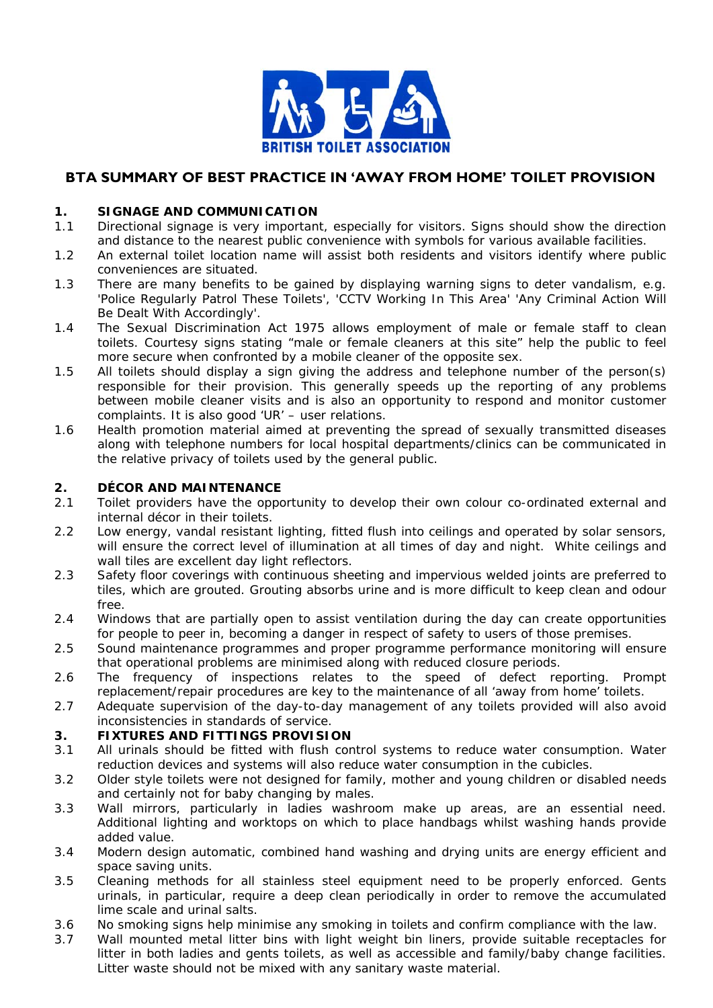

# **BTA SUMMARY OF BEST PRACTICE IN 'AWAY FROM HOME' TOILET PROVISION**

### **1. SIGNAGE AND COMMUNICATION**

- 1.1 Directional signage is very important, especially for visitors. Signs should show the direction and distance to the nearest public convenience with symbols for various available facilities.
- 1.2 An external toilet location name will assist both residents and visitors identify where public conveniences are situated.
- 1.3 There are many benefits to be gained by displaying warning signs to deter vandalism, e.g. 'Police Regularly Patrol These Toilets', 'CCTV Working In This Area' 'Any Criminal Action Will Be Dealt With Accordingly'.
- 1.4 The Sexual Discrimination Act 1975 allows employment of male or female staff to clean toilets. Courtesy signs stating "male or female cleaners at this site" help the public to feel more secure when confronted by a mobile cleaner of the opposite sex.
- 1.5 All toilets should display a sign giving the address and telephone number of the person(s) responsible for their provision. This generally speeds up the reporting of any problems between mobile cleaner visits and is also an opportunity to respond and monitor customer complaints. It is also good 'UR' – user relations.
- 1.6 Health promotion material aimed at preventing the spread of sexually transmitted diseases along with telephone numbers for local hospital departments/clinics can be communicated in the relative privacy of toilets used by the general public.

#### **2. DÉCOR AND MAINTENANCE**

- 2.1 Toilet providers have the opportunity to develop their own colour co-ordinated external and internal décor in their toilets.
- 2.2 Low energy, vandal resistant lighting, fitted flush into ceilings and operated by solar sensors, will ensure the correct level of illumination at all times of day and night. White ceilings and wall tiles are excellent day light reflectors.
- 2.3 Safety floor coverings with continuous sheeting and impervious welded joints are preferred to tiles, which are grouted. Grouting absorbs urine and is more difficult to keep clean and odour free.
- 2.4 Windows that are partially open to assist ventilation during the day can create opportunities for people to peer in, becoming a danger in respect of safety to users of those premises.
- 2.5 Sound maintenance programmes and proper programme performance monitoring will ensure that operational problems are minimised along with reduced closure periods.
- 2.6 The frequency of inspections relates to the speed of defect reporting. Prompt replacement/repair procedures are key to the maintenance of all 'away from home' toilets.
- 2.7 Adequate supervision of the day-to-day management of any toilets provided will also avoid inconsistencies in standards of service.

#### **3. FIXTURES AND FITTINGS PROVISION**

- 3.1 All urinals should be fitted with flush control systems to reduce water consumption. Water reduction devices and systems will also reduce water consumption in the cubicles.
- 3.2 Older style toilets were not designed for family, mother and young children or disabled needs and certainly not for baby changing by males.
- 3.3 Wall mirrors, particularly in ladies washroom make up areas, are an essential need. Additional lighting and worktops on which to place handbags whilst washing hands provide added value.
- 3.4 Modern design automatic, combined hand washing and drying units are energy efficient and space saving units.
- 3.5 Cleaning methods for all stainless steel equipment need to be properly enforced. Gents urinals, in particular, require a deep clean periodically in order to remove the accumulated lime scale and urinal salts.
- 3.6 No smoking signs help minimise any smoking in toilets and confirm compliance with the law.
- 3.7 Wall mounted metal litter bins with light weight bin liners, provide suitable receptacles for litter in both ladies and gents toilets, as well as accessible and family/baby change facilities. Litter waste should not be mixed with any sanitary waste material.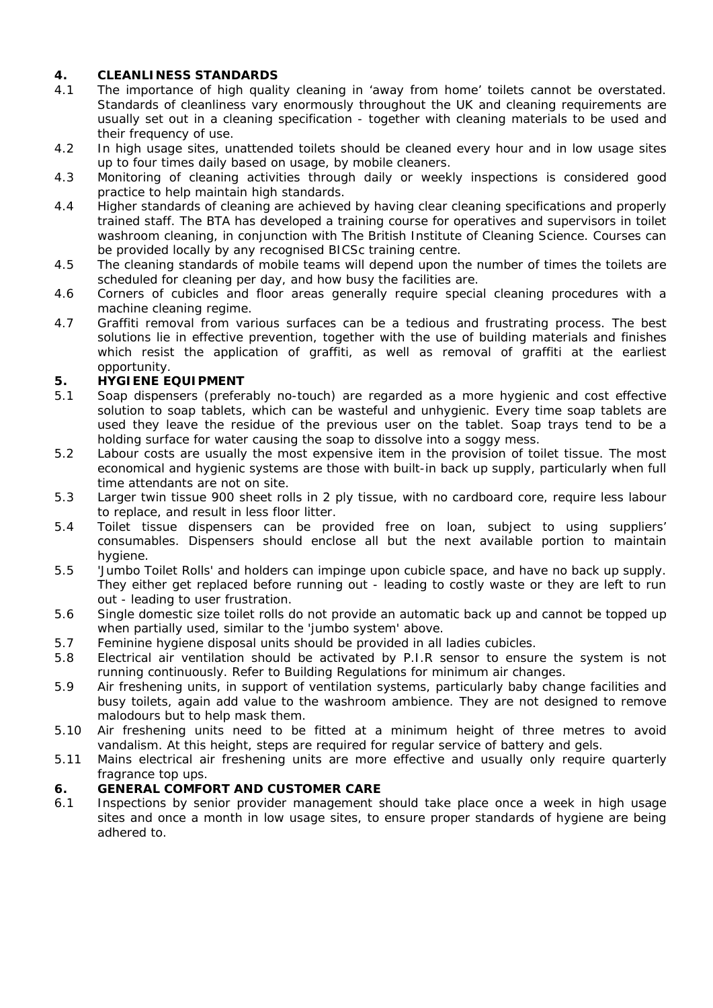## **4. CLEANLINESS STANDARDS**

- 4.1 The importance of high quality cleaning in 'away from home' toilets cannot be overstated. Standards of cleanliness vary enormously throughout the UK and cleaning requirements are usually set out in a cleaning specification - together with cleaning materials to be used and their frequency of use.
- 4.2 In high usage sites, unattended toilets should be cleaned every hour and in low usage sites up to four times daily based on usage, by mobile cleaners.
- 4.3 Monitoring of cleaning activities through daily or weekly inspections is considered good practice to help maintain high standards.
- 4.4 Higher standards of cleaning are achieved by having clear cleaning specifications and properly trained staff. The BTA has developed a training course for operatives and supervisors in toilet washroom cleaning, in conjunction with The British Institute of Cleaning Science. Courses can be provided locally by any recognised BICSc training centre.
- 4.5 The cleaning standards of mobile teams will depend upon the number of times the toilets are scheduled for cleaning per day, and how busy the facilities are.
- 4.6 Corners of cubicles and floor areas generally require special cleaning procedures with a machine cleaning regime.
- 4.7 Graffiti removal from various surfaces can be a tedious and frustrating process. The best solutions lie in effective prevention, together with the use of building materials and finishes which resist the application of graffiti, as well as removal of graffiti at the earliest opportunity.

## **5. HYGIENE EQUIPMENT**

- 5.1 Soap dispensers (preferably no-touch) are regarded as a more hygienic and cost effective solution to soap tablets, which can be wasteful and unhygienic. Every time soap tablets are used they leave the residue of the previous user on the tablet. Soap trays tend to be a holding surface for water causing the soap to dissolve into a soggy mess.
- 5.2 Labour costs are usually the most expensive item in the provision of toilet tissue. The most economical and hygienic systems are those with built-in back up supply, particularly when full time attendants are not on site.
- 5.3 Larger twin tissue 900 sheet rolls in 2 ply tissue, with no cardboard core, require less labour to replace, and result in less floor litter.
- 5.4 Toilet tissue dispensers can be provided free on loan, subject to using suppliers' consumables. Dispensers should enclose all but the next available portion to maintain hygiene.
- 5.5 'Jumbo Toilet Rolls' and holders can impinge upon cubicle space, and have no back up supply. They either get replaced before running out - leading to costly waste or they are left to run out - leading to user frustration.
- 5.6 Single domestic size toilet rolls do not provide an automatic back up and cannot be topped up when partially used, similar to the 'jumbo system' above.
- 5.7 Feminine hygiene disposal units should be provided in all ladies cubicles.
- 5.8 Electrical air ventilation should be activated by P.I.R sensor to ensure the system is not running continuously. Refer to Building Regulations for minimum air changes.
- 5.9 Air freshening units, in support of ventilation systems, particularly baby change facilities and busy toilets, again add value to the washroom ambience. They are not designed to remove malodours but to help mask them.
- 5.10 Air freshening units need to be fitted at a minimum height of three metres to avoid vandalism. At this height, steps are required for regular service of battery and gels.
- 5.11 Mains electrical air freshening units are more effective and usually only require quarterly fragrance top ups.

## **6. GENERAL COMFORT AND CUSTOMER CARE**

6.1 Inspections by senior provider management should take place once a week in high usage sites and once a month in low usage sites, to ensure proper standards of hygiene are being adhered to.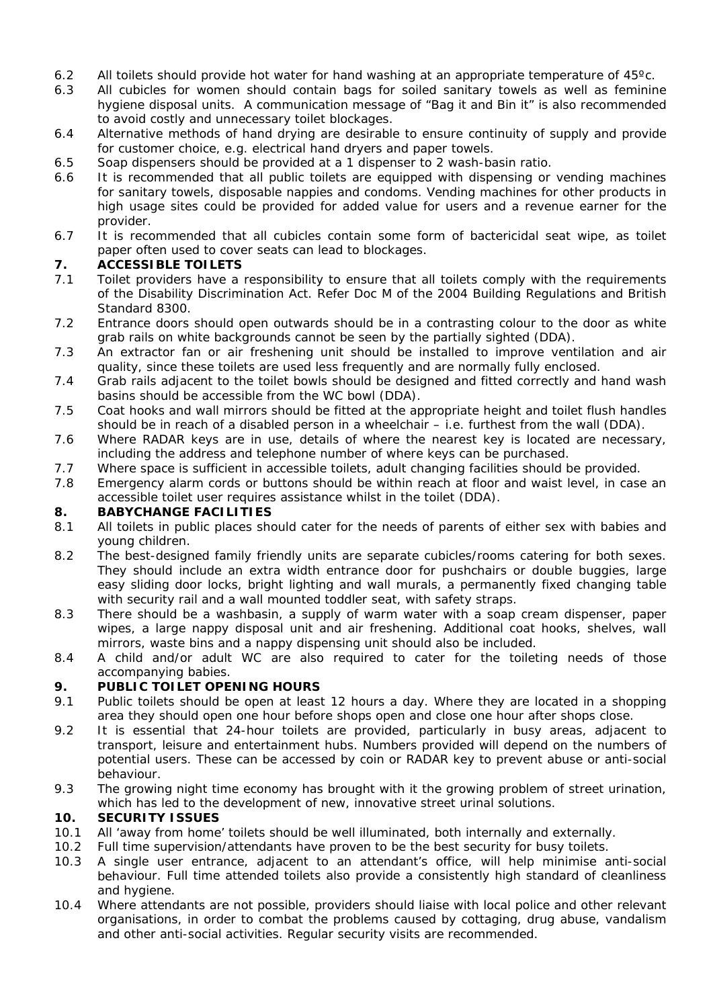- 6.2 All toilets should provide hot water for hand washing at an appropriate temperature of 45ºc.
- 6.3 All cubicles for women should contain bags for soiled sanitary towels as well as feminine hygiene disposal units. A communication message of "Bag it and Bin it" is also recommended to avoid costly and unnecessary toilet blockages.
- 6.4 Alternative methods of hand drying are desirable to ensure continuity of supply and provide for customer choice, e.g. electrical hand dryers and paper towels.
- 6.5 Soap dispensers should be provided at a 1 dispenser to 2 wash-basin ratio.
- 6.6 It is recommended that all public toilets are equipped with dispensing or vending machines for sanitary towels, disposable nappies and condoms. *Vending machines for other products in high usage sites could be provided for added value for users and a revenue earner for the provider.*
- 6.7 It is recommended that all cubicles contain some form of bactericidal seat wipe, as toilet paper often used to cover seats can lead to blockages.

### **7. ACCESSIBLE TOILETS**

- 7.1 Toilet providers have a responsibility to ensure that all toilets comply with the requirements of the Disability Discrimination Act. Refer Doc M of the 2004 Building Regulations and British Standard 8300.
- 7.2 Entrance doors should open outwards should be in a contrasting colour to the door as white grab rails on white backgrounds cannot be seen by the partially sighted (DDA).
- 7.3 An extractor fan or air freshening unit should be installed to improve ventilation and air quality, since these toilets are used less frequently and are normally fully enclosed.
- 7.4 Grab rails adjacent to the toilet bowls should be designed and fitted correctly and hand wash basins should be accessible from the WC bowl (DDA).
- 7.5 Coat hooks and wall mirrors should be fitted at the appropriate height and toilet flush handles should be in reach of a disabled person in a wheelchair – i.e. furthest from the wall (DDA).
- 7.6 Where RADAR keys are in use, details of where the nearest key is located are necessary, including the address and telephone number of where keys can be purchased.
- 7.7 Where space is sufficient in accessible toilets, adult changing facilities should be provided.
- 7.8 Emergency alarm cords or buttons should be within reach at floor and waist level, in case an accessible toilet user requires assistance whilst in the toilet (DDA).

#### **8. BABYCHANGE FACILITIES**

- 8.1 All toilets in public places should cater for the needs of parents of either sex with babies and young children.
- 8.2 The best-designed family friendly units are separate cubicles/rooms catering for both sexes. They should include an extra width entrance door for pushchairs or double buggies, large easy sliding door locks, bright lighting and wall murals, a permanently fixed changing table with security rail and a wall mounted toddler seat, with safety straps.
- 8.3 There should be a washbasin, a supply of warm water with a soap cream dispenser, paper wipes, a large nappy disposal unit and air freshening. Additional coat hooks, shelves, wall mirrors, waste bins and a nappy dispensing unit should also be included.
- 8.4 A child and/or adult WC are also required to cater for the toileting needs of those accompanying babies.

#### **9. PUBLIC TOILET OPENING HOURS**

- 9.1 Public toilets should be open at least 12 hours a day. Where they are located in a shopping area they should open one hour before shops open and close one hour after shops close.
- 9.2 It is essential that 24-hour toilets are provided, particularly in busy areas, adjacent to transport, leisure and entertainment hubs. Numbers provided will depend on the numbers of potential users. These can be accessed by coin or RADAR key to prevent abuse or anti-social behaviour.
- 9.3 The growing night time economy has brought with it the growing problem of street urination, which has led to the development of new, innovative street urinal solutions.

#### **10. SECURITY ISSUES**

- 10.1 All 'away from home' toilets should be well illuminated, both internally and externally.
- 10.2 Full time supervision/attendants have proven to be the best security for busy toilets.
- 10.3 A single user entrance, adjacent to an attendant's office, will help minimise anti-social behaviour. Full time attended toilets also provide a consistently high standard of cleanliness and hygiene.
- 10.4 Where attendants are not possible, providers should liaise with local police and other relevant organisations, in order to combat the problems caused by cottaging, drug abuse, vandalism and other anti-social activities. Regular security visits are recommended.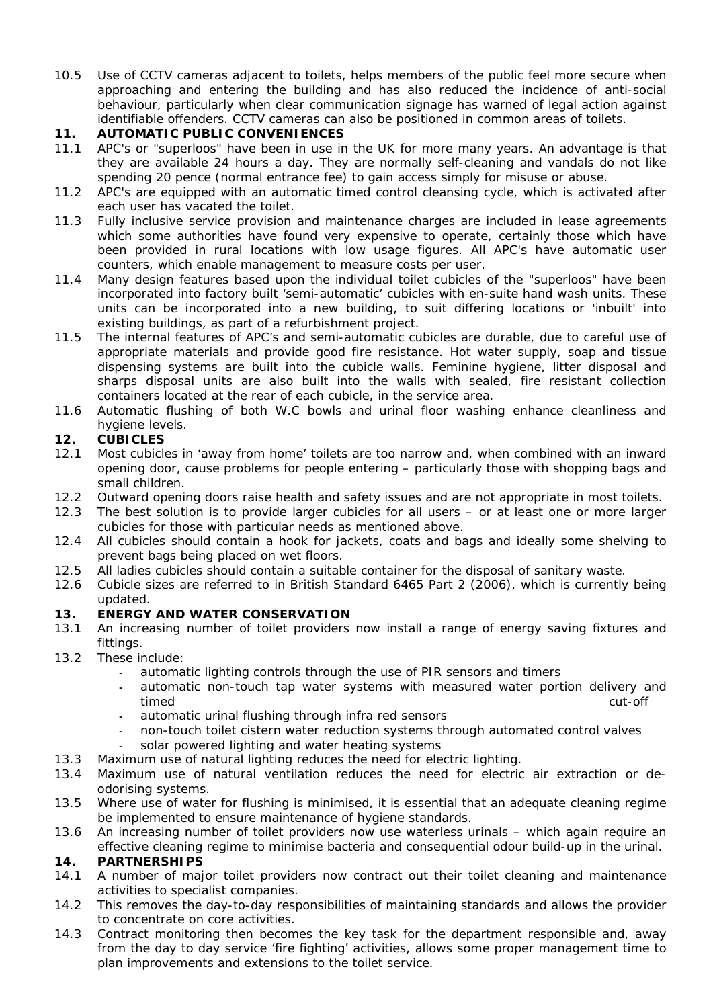10.5 Use of CCTV cameras adjacent to toilets, helps members of the public feel more secure when approaching and entering the building and has also reduced the incidence of anti-social behaviour, particularly when clear communication signage has warned of legal action against identifiable offenders. CCTV cameras can also be positioned in common areas of toilets.

## **11. AUTOMATIC PUBLIC CONVENIENCES**

- 11.1 APC's or "superloos" have been in use in the UK for more many years. An advantage is that they are available 24 hours a day. They are normally self-cleaning and vandals do not like spending 20 pence (normal entrance fee) to gain access simply for misuse or abuse.
- 11.2 APC's are equipped with an automatic timed control cleansing cycle, which is activated after each user has vacated the toilet.
- 11.3 Fully inclusive service provision and maintenance charges are included in lease agreements which some authorities have found very expensive to operate, certainly those which have been provided in rural locations with low usage figures. All APC's have automatic user counters, which enable management to measure costs per user.
- 11.4 Many design features based upon the individual toilet cubicles of the "superloos" have been incorporated into factory built 'semi-automatic' cubicles with en-suite hand wash units. These units can be incorporated into a new building, to suit differing locations or 'inbuilt' into existing buildings, as part of a refurbishment project.
- 11.5 The internal features of APC's and semi-automatic cubicles are durable, due to careful use of appropriate materials and provide good fire resistance. Hot water supply, soap and tissue dispensing systems are built into the cubicle walls. Feminine hygiene, litter disposal and sharps disposal units are also built into the walls with sealed, fire resistant collection containers located at the rear of each cubicle, in the service area.
- 11.6 Automatic flushing of both W.C bowls and urinal floor washing enhance cleanliness and hygiene levels.

## **12. CUBICLES**

- 12.1 Most cubicles in 'away from home' toilets are too narrow and, when combined with an inward opening door, cause problems for people entering – particularly those with shopping bags and small children.
- 12.2 Outward opening doors raise health and safety issues and are not appropriate in most toilets.
- 12.3 The best solution is to provide larger cubicles for all users or at least one or more larger cubicles for those with particular needs as mentioned above.
- 12.4 All cubicles should contain a hook for jackets, coats and bags and ideally some shelving to prevent bags being placed on wet floors.
- 12.5 All ladies cubicles should contain a suitable container for the disposal of sanitary waste.
- 12.6 Cubicle sizes are referred to in British Standard 6465 Part 2 (2006), which is currently being updated.

## **13. ENERGY AND WATER CONSERVATION**

- 13.1 An increasing number of toilet providers now install a range of energy saving fixtures and fittings.
- 13.2 These include:
	- automatic lighting controls through the use of PIR sensors and timers
	- automatic non-touch tap water systems with measured water portion delivery and timed cut-off
	- automatic urinal flushing through infra red sensors
	- non-touch toilet cistern water reduction systems through automated control valves
	- solar powered lighting and water heating systems
- 13.3 Maximum use of natural lighting reduces the need for electric lighting.
- 13.4 Maximum use of natural ventilation reduces the need for electric air extraction or deodorising systems.
- 13.5 Where use of water for flushing is minimised, it is essential that an adequate cleaning regime be implemented to ensure maintenance of hygiene standards.
- 13.6 An increasing number of toilet providers now use waterless urinals which again require an effective cleaning regime to minimise bacteria and consequential odour build-up in the urinal.

## **14. PARTNERSHIPS**

- 14.1 A number of major toilet providers now contract out their toilet cleaning and maintenance activities to specialist companies.
- 14.2 This removes the day-to-day responsibilities of maintaining standards and allows the provider to concentrate on core activities.
- 14.3 Contract monitoring then becomes the key task for the department responsible and, away from the day to day service 'fire fighting' activities, allows some proper management time to plan improvements and extensions to the toilet service.